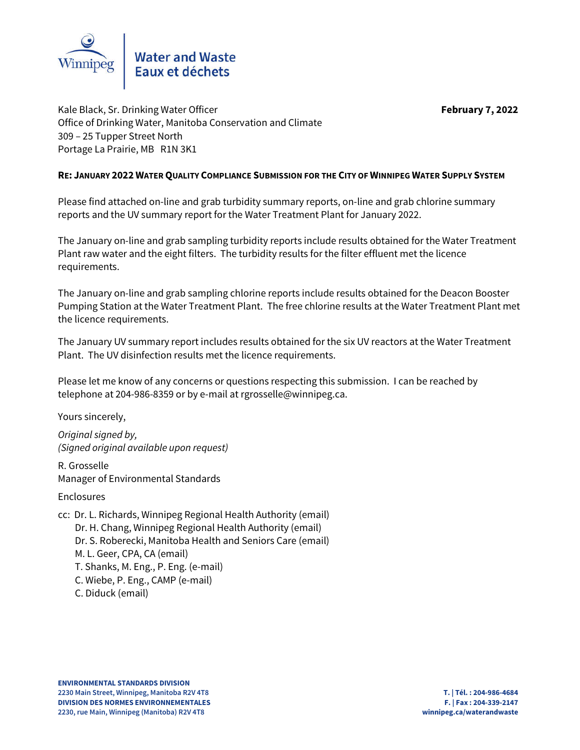

Kale Black, Sr. Drinking Water Officer **February 7, 2022** Office of Drinking Water, Manitoba Conservation and Climate 309 – 25 Tupper Street North Portage La Prairie, MB R1N 3K1

## **RE: JANUARY 2022 WATER QUALITY COMPLIANCE SUBMISSION FOR THE CITY OF WINNIPEG WATER SUPPLY SYSTEM**

Please find attached on-line and grab turbidity summary reports, on-line and grab chlorine summary reports and the UV summary report for the Water Treatment Plant for January 2022.

The January on-line and grab sampling turbidity reports include results obtained for the Water Treatment Plant raw water and the eight filters. The turbidity results for the filter effluent met the licence requirements.

The January on-line and grab sampling chlorine reports include results obtained for the Deacon Booster Pumping Station at the Water Treatment Plant. The free chlorine results at the Water Treatment Plant met the licence requirements.

The January UV summary report includes results obtained for the six UV reactors at the Water Treatment Plant. The UV disinfection results met the licence requirements.

Please let me know of any concerns or questions respecting this submission. I can be reached by telephone at 204-986-8359 or by e-mail at rgrosselle@winnipeg.ca.

Yours sincerely,

*Original signed by, (Signed original available upon request)*

R. Grosselle Manager of Environmental Standards

Enclosures

cc: Dr. L. Richards, Winnipeg Regional Health Authority (email) Dr. H. Chang, Winnipeg Regional Health Authority (email) Dr. S. Roberecki, Manitoba Health and Seniors Care (email) M. L. Geer, CPA, CA (email) T. Shanks, M. Eng., P. Eng. (e-mail) C. Wiebe, P. Eng., CAMP (e-mail) C. Diduck (email)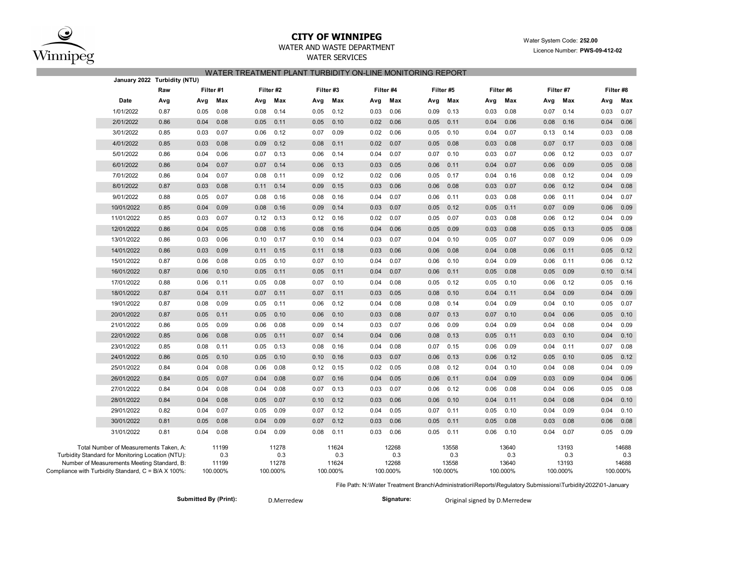

# **CITY OF WINNIPEG** WATER WATER WATER System Code: 252.00

## WATER AND WASTE DEPARTMENT **EXAMPLE 2021** Licence Number: **PWS-09-412-02**

WATER SERVICES

### WATER TREATMENT PLANT TURBIDITY ON-LINE MONITORING REPORT

|                                                                                                    | January 2022 Turbidity (NTU) |           |                       |                   |              |      |                       |      |                       |          |                       |      |                       |      |                       |          |                       |  |
|----------------------------------------------------------------------------------------------------|------------------------------|-----------|-----------------------|-------------------|--------------|------|-----------------------|------|-----------------------|----------|-----------------------|------|-----------------------|------|-----------------------|----------|-----------------------|--|
|                                                                                                    | Raw                          | Filter #1 |                       |                   | Filter #2    |      | Filter #3             |      | Filter #4             |          | Filter #5             |      | Filter #6             |      | Filter #7             |          | Filter #8             |  |
| Date                                                                                               | Avg                          | Avg       | Max                   | Avg               | Max          | Avg  | Max                   | Avg  | Max                   | Avg      | Max                   | Avg  | Max                   | Avg  | Max                   | Avg      | Max                   |  |
| 1/01/2022                                                                                          | 0.87                         | 0.05      | 0.08                  | 0.08              | 0.14         | 0.05 | 0.12                  | 0.03 | 0.06                  | 0.09     | 0.13                  | 0.03 | 0.08                  | 0.07 | 0.14                  | 0.03     | 0.07                  |  |
| 2/01/2022                                                                                          | 0.86                         | 0.04      | 0.08                  | 0.05              | 0.11         | 0.05 | 0.10                  | 0.02 | 0.06                  | 0.05     | 0.11                  | 0.04 | 0.06                  | 0.08 | 0.16                  | 0.04     | 0.06                  |  |
| 3/01/2022                                                                                          | 0.85                         | 0.03      | 0.07                  | 0.06              | 0.12         | 0.07 | 0.09                  | 0.02 | 0.06                  | 0.05     | 0.10                  | 0.04 | 0.07                  | 0.13 | 0.14                  | 0.03     | 0.08                  |  |
| 4/01/2022                                                                                          | 0.85                         | 0.03      | 0.08                  | 0.09              | 0.12         | 0.08 | 0.11                  | 0.02 | 0.07                  | 0.05     | 0.08                  | 0.03 | 0.08                  | 0.07 | 0.17                  | 0.03     | 0.08                  |  |
| 5/01/2022                                                                                          | 0.86                         | 0.04      | 0.06                  | 0.07              | 0.13         | 0.06 | 0.14                  | 0.04 | 0.07                  | 0.07     | 0.10                  | 0.03 | 0.07                  | 0.06 | 0.12                  | 0.03     | 0.07                  |  |
| 6/01/2022                                                                                          | 0.86                         | 0.04      | 0.07                  | 0.07              | 0.14         | 0.06 | 0.13                  | 0.03 | 0.05                  | 0.06     | 0.11                  | 0.04 | 0.07                  | 0.06 | 0.09                  | 0.05     | 0.08                  |  |
| 7/01/2022                                                                                          | 0.86                         | 0.04      | 0.07                  | 0.08              | 0.11         | 0.09 | 0.12                  | 0.02 | 0.06                  | 0.05     | 0.17                  | 0.04 | 0.16                  | 0.08 | 0.12                  | 0.04     | 0.09                  |  |
| 8/01/2022                                                                                          | 0.87                         | 0.03      | 0.08                  | 0.11              | 0.14         | 0.09 | 0.15                  | 0.03 | 0.06                  | 0.06     | 0.08                  | 0.03 | 0.07                  | 0.06 | 0.12                  | 0.04     | 0.08                  |  |
| 9/01/2022                                                                                          | 0.88                         | 0.05      | 0.07                  | 0.08              | 0.16         | 0.08 | 0.16                  | 0.04 | 0.07                  | 0.06     | 0.11                  | 0.03 | 0.08                  | 0.06 | 0.11                  | 0.04     | 0.07                  |  |
| 10/01/2022                                                                                         | 0.85                         | 0.04      | 0.09                  | 0.08              | 0.16         | 0.09 | 0.14                  | 0.03 | 0.07                  | 0.05     | 0.12                  | 0.05 | 0.11                  | 0.07 | 0.09                  | 0.06     | 0.09                  |  |
| 11/01/2022                                                                                         | 0.85                         | 0.03      | 0.07                  | 0.12              | 0.13         | 0.12 | 0.16                  | 0.02 | 0.07                  | 0.05     | 0.07                  | 0.03 | 0.08                  | 0.06 | 0.12                  | 0.04     | 0.09                  |  |
| 12/01/2022                                                                                         | 0.86                         | 0.04      | 0.05                  | 0.08              | 0.16         | 0.08 | 0.16                  | 0.04 | 0.06                  | 0.05     | 0.09                  | 0.03 | 0.08                  | 0.05 | 0.13                  | 0.05     | 0.08                  |  |
| 13/01/2022                                                                                         | 0.86                         | 0.03      | 0.06                  | 0.10              | 0.17         | 0.10 | 0.14                  | 0.03 | 0.07                  | 0.04     | 0.10                  | 0.05 | 0.07                  | 0.07 | 0.09                  | 0.06     | 0.09                  |  |
| 14/01/2022                                                                                         | 0.86                         | 0.03      | 0.09                  | 0.11              | 0.15         | 0.11 | 0.18                  | 0.03 | 0.06                  | 0.06     | 0.08                  | 0.04 | 0.08                  | 0.06 | 0.11                  | 0.05     | 0.12                  |  |
| 15/01/2022                                                                                         | 0.87                         | 0.06      | 0.08                  | 0.05              | 0.10         | 0.07 | 0.10                  | 0.04 | 0.07                  | 0.06     | 0.10                  | 0.04 | 0.09                  | 0.06 | 0.11                  | 0.06     | 0.12                  |  |
| 16/01/2022                                                                                         | 0.87                         | 0.06      | 0.10                  | 0.05              | 0.11         | 0.05 | 0.11                  | 0.04 | 0.07                  | 0.06     | 0.11                  | 0.05 | 0.08                  | 0.05 | 0.09                  | 0.10     | 0.14                  |  |
| 17/01/2022                                                                                         | 0.88                         | 0.06      | 0.11                  | 0.05              | 0.08         | 0.07 | 0.10                  | 0.04 | 0.08                  | 0.05     | 0.12                  | 0.05 | 0.10                  | 0.06 | 0.12                  | 0.05     | 0.16                  |  |
| 18/01/2022                                                                                         | 0.87                         | 0.04      | 0.11                  | 0.07              | 0.11         | 0.07 | 0.11                  | 0.03 | 0.05                  | 0.08     | 0.10                  | 0.04 | 0.11                  | 0.04 | 0.09                  | 0.04     | 0.09                  |  |
| 19/01/2022                                                                                         | 0.87                         | 0.08      | 0.09                  | 0.05              | 0.11         | 0.06 | 0.12                  | 0.04 | 0.08                  | 0.08     | 0.14                  | 0.04 | 0.09                  | 0.04 | 0.10                  | 0.05     | 0.07                  |  |
| 20/01/2022                                                                                         | 0.87                         | 0.05      | 0.11                  | 0.05              | 0.10         | 0.06 | 0.10                  | 0.03 | 0.08                  | 0.07     | 0.13                  | 0.07 | 0.10                  | 0.04 | 0.06                  | 0.05     | 0.10                  |  |
| 21/01/2022                                                                                         | 0.86                         | 0.05      | 0.09                  | 0.06              | 0.08         | 0.09 | 0.14                  | 0.03 | 0.07                  | 0.06     | 0.09                  | 0.04 | 0.09                  | 0.04 | 0.08                  | 0.04     | 0.09                  |  |
| 22/01/2022                                                                                         | 0.85                         | 0.06      | 0.08                  | 0.05              | 0.11         | 0.07 | 0.14                  | 0.04 | 0.06                  | 0.08     | 0.13                  | 0.05 | 0.11                  | 0.03 | 0.10                  | 0.04     | 0.10                  |  |
| 23/01/2022                                                                                         | 0.85                         | 0.08      | 0.11                  | 0.05              | 0.13         | 0.08 | 0.16                  | 0.04 | 0.08                  | 0.07     | 0.15                  | 0.06 | 0.09                  | 0.04 | 0.11                  | 0.07     | 0.08                  |  |
| 24/01/2022                                                                                         | 0.86                         | 0.05      | 0.10                  | 0.05              | 0.10         | 0.10 | 0.16                  | 0.03 | 0.07                  | 0.06     | 0.13                  | 0.06 | 0.12                  | 0.05 | 0.10                  | 0.05     | 0.12                  |  |
| 25/01/2022                                                                                         | 0.84                         | 0.04      | 0.08                  | 0.06              | 0.08         | 0.12 | 0.15                  | 0.02 | 0.05                  | 0.08     | 0.12                  | 0.04 | 0.10                  | 0.04 | 0.08                  | 0.04     | 0.09                  |  |
| 26/01/2022                                                                                         | 0.84                         | 0.05      | 0.07                  | 0.04              | 0.08         | 0.07 | 0.16                  | 0.04 | 0.05                  | 0.06     | 0.11                  | 0.04 | 0.09                  | 0.03 | 0.09                  | 0.04     | 0.06                  |  |
| 27/01/2022                                                                                         | 0.84                         | 0.04      | 0.08                  | 0.04              | 0.08         | 0.07 | 0.13                  | 0.03 | 0.07                  | 0.06     | 0.12                  | 0.06 | 0.08                  | 0.04 | 0.06                  | 0.05     | 0.08                  |  |
| 28/01/2022                                                                                         | 0.84                         | 0.04      | 0.08                  | 0.05              | 0.07         | 0.10 | 0.12                  | 0.03 | 0.06                  | 0.06     | 0.10                  | 0.04 | 0.11                  | 0.04 | 0.08                  | 0.04     | 0.10                  |  |
| 29/01/2022                                                                                         | 0.82                         | 0.04      | 0.07                  | 0.05              | 0.09         | 0.07 | 0.12                  | 0.04 | 0.05                  | 0.07     | 0.11                  | 0.05 | 0.10                  | 0.04 | 0.09                  | 0.04     | 0.10                  |  |
| 30/01/2022                                                                                         | 0.81                         | 0.05      | 0.08                  | 0.04              | 0.09         | 0.07 | 0.12                  | 0.03 | 0.06                  | 0.05     | 0.11                  | 0.05 | 0.08                  | 0.03 | 0.08                  | 0.06     | 0.08                  |  |
| 31/01/2022                                                                                         | 0.81                         | 0.04      | 0.08                  | 0.04              | 0.09         | 0.08 | 0.11                  | 0.03 | 0.06                  | 0.05     | 0.11                  | 0.06 | 0.10                  | 0.04 | 0.07                  | 0.05     | 0.09                  |  |
| Total Number of Measurements Taken, A:<br>Turbidity Standard for Monitoring Location (NTU):        |                              |           | 11199<br>0.3<br>11199 |                   | 11278<br>0.3 |      | 11624<br>0.3<br>11624 |      | 12268<br>0.3<br>12268 |          | 13558<br>0.3<br>13558 |      | 13640<br>0.3<br>13640 |      | 13193<br>0.3<br>13193 |          | 14688<br>0.3<br>14688 |  |
| Number of Measurements Meeting Standard, B:<br>Compliance with Turbidity Standard, C = B/A X 100%: |                              |           | 100.000%              | 11278<br>100.000% |              |      | 100.000%              |      | 100.000%              | 100.000% |                       |      | 100.000%              |      | 100.000%              | 100.000% |                       |  |

File Path: N:\Water Treatment Branch\Administration\Reports\Regulatory Submissions\Turbidity\2022\01-January

**Submitted By (Print):** D.Merredew **Signature:** Original signed by D.Merredew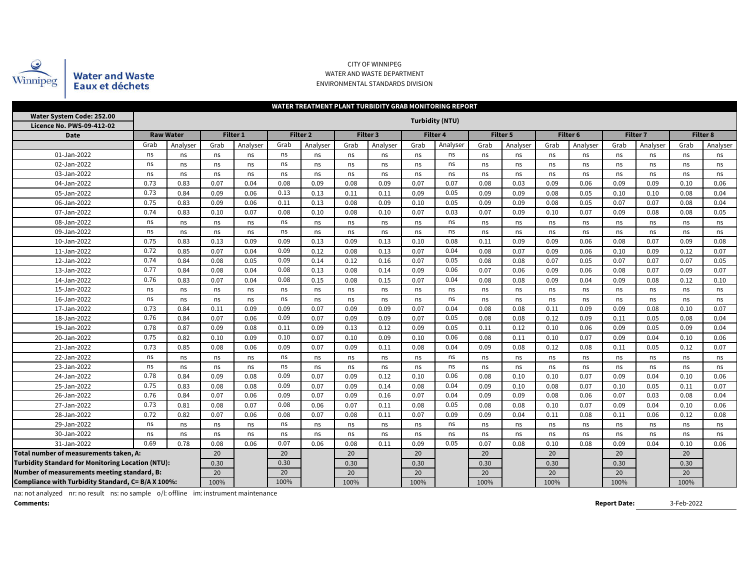

### CITY OF WINNIPEG WATER AND WASTE DEPARTMENT ENVIRONMENTAL STANDARDS DIVISION

|                                                          | WATER TREATMENT PLANT TURBIDITY GRAB MONITORING REPORT |                  |      |          |      |                 |      |          |      |          |      |          |      |                     |      |                 |      |          |
|----------------------------------------------------------|--------------------------------------------------------|------------------|------|----------|------|-----------------|------|----------|------|----------|------|----------|------|---------------------|------|-----------------|------|----------|
| Water System Code: 252.00<br>Licence No. PWS-09-412-02   | <b>Turbidity (NTU)</b>                                 |                  |      |          |      |                 |      |          |      |          |      |          |      |                     |      |                 |      |          |
| <b>Date</b>                                              |                                                        | <b>Raw Water</b> |      | Filter 1 |      | <b>Filter 2</b> |      | Filter 3 |      | Filter 4 |      | Filter 5 |      | Filter <sub>6</sub> |      | <b>Filter 7</b> |      | Filter 8 |
|                                                          | Grab                                                   | Analyser         | Grab | Analyser | Grab | Analyser        | Grab | Analyser | Grab | Analyser | Grab | Analyser | Grab | Analyser            | Grab | Analyser        | Grab | Analyser |
| 01-Jan-2022                                              | ns                                                     | ns               | ns   | ns       | ns   | ns              | ns   | ns       | ns   | ns       | ns   | ns       | ns   | ns                  | ns   | ns              | ns   | ns       |
| 02-Jan-2022                                              | ns                                                     | ns               | ns   | ns       | ns   | ns              | ns   | ns       | ns   | ns       | ns   | ns       | ns   | ns                  | ns   | ns              | ns   | ns       |
| 03-Jan-2022                                              | ns                                                     | ns               | ns   | ns       | ns   | ns              | ns   | ns       | ns   | ns       | ns   | ns       | ns   | ns                  | ns   | ns              | ns   | ns       |
| 04-Jan-2022                                              | 0.73                                                   | 0.83             | 0.07 | 0.04     | 0.08 | 0.09            | 0.08 | 0.09     | 0.07 | 0.07     | 0.08 | 0.03     | 0.09 | 0.06                | 0.09 | 0.09            | 0.10 | 0.06     |
| 05-Jan-2022                                              | 0.73                                                   | 0.84             |      | 0.06     | 0.13 | 0.13            | 0.11 | 0.11     | 0.09 | 0.05     | 0.09 | 0.09     | 0.08 | 0.05                | 0.10 | 0.10            | 0.08 | 0.04     |
| 06-Jan-2022                                              | 0.75<br>0.83                                           |                  | 0.09 | 0.06     | 0.11 | 0.13            | 0.08 | 0.09     | 0.10 | 0.05     | 0.09 | 0.09     | 0.08 | 0.05                | 0.07 | 0.07            | 0.08 | 0.04     |
| 07-Jan-2022                                              | 0.74                                                   | 0.83             | 0.10 | 0.07     | 0.08 | 0.10            | 0.08 | 0.10     | 0.07 | 0.03     | 0.07 | 0.09     | 0.10 | 0.07                | 0.09 | 0.08            | 0.08 | 0.05     |
| 08-Jan-2022                                              | ns                                                     | ns               | ns   | ns       | ns   | ns              | ns   | ns       | ns   | ns       | ns   | ns       | ns   | ns                  | ns   | ns              | ns   | ns       |
| 09-Jan-2022                                              | ns<br>ns                                               |                  | ns   | ns       | ns   | ns              | ns   | ns       | ns   | ns       | ns   | ns       | ns   | ns                  | ns   | ns              | ns   | ns       |
| 10-Jan-2022                                              | 0.75                                                   | 0.83             | 0.13 | 0.09     | 0.09 | 0.13            | 0.09 | 0.13     | 0.10 | 0.08     | 0.11 | 0.09     | 0.09 | 0.06                | 0.08 | 0.07            | 0.09 | 0.08     |
| 11-Jan-2022                                              | 0.72                                                   | 0.85             | 0.07 | 0.04     | 0.09 | 0.12            | 0.08 | 0.13     | 0.07 | 0.04     | 0.08 | 0.07     | 0.09 | 0.06                | 0.10 | 0.09            | 0.12 | 0.07     |
| 12-Jan-2022                                              | 0.74                                                   | 0.84             | 0.08 | 0.05     | 0.09 | 0.14            | 0.12 | 0.16     | 0.07 | 0.05     | 0.08 | 0.08     | 0.07 | 0.05                | 0.07 | 0.07            | 0.07 | 0.05     |
| 13-Jan-2022                                              | 0.77                                                   | 0.84             | 0.08 | 0.04     | 0.08 | 0.13            | 0.08 | 0.14     | 0.09 | 0.06     | 0.07 | 0.06     | 0.09 | 0.06                | 0.08 | 0.07            | 0.09 | 0.07     |
| 14-Jan-2022                                              | 0.76                                                   | 0.83             | 0.07 | 0.04     | 0.08 | 0.15            | 0.08 | 0.15     | 0.07 | 0.04     | 0.08 | 0.08     | 0.09 | 0.04                | 0.09 | 0.08            | 0.12 | 0.10     |
| 15-Jan-2022                                              | ns                                                     | ns               | ns   | ns       | ns   | ns              | ns   | ns       | ns   | ns       | ns   | ns       | ns   | ns                  | ns   | ns              | ns   | ns       |
| 16-Jan-2022                                              | ns                                                     | ns               | ns   | ns       | ns   | ns              | ns   | ns       | ns   | ns       | ns   | ns       | ns   | ns                  | ns   | ns              | ns   | ns       |
| 17-Jan-2022                                              | 0.73                                                   | 0.84             | 0.11 | 0.09     | 0.09 | 0.07            | 0.09 | 0.09     | 0.07 | 0.04     | 0.08 | 0.08     | 0.11 | 0.09                | 0.09 | 0.08            | 0.10 | 0.07     |
| 18-Jan-2022                                              | 0.76                                                   | 0.84             | 0.07 | 0.06     | 0.09 | 0.07            | 0.09 | 0.09     | 0.07 | 0.05     | 0.08 | 0.08     | 0.12 | 0.09                | 0.11 | 0.05            | 0.08 | 0.04     |
| 19-Jan-2022                                              | 0.78                                                   | 0.87             | 0.09 | 0.08     | 0.11 | 0.09            | 0.13 | 0.12     | 0.09 | 0.05     | 0.11 | 0.12     | 0.10 | 0.06                | 0.09 | 0.05            | 0.09 | 0.04     |
| 20-Jan-2022                                              | 0.75                                                   | 0.82             | 0.10 | 0.09     | 0.10 | 0.07            | 0.10 | 0.09     | 0.10 | 0.06     | 0.08 | 0.11     | 0.10 | 0.07                | 0.09 | 0.04            | 0.10 | 0.06     |
| 21-Jan-2022                                              | 0.73                                                   | 0.85             | 0.08 | 0.06     | 0.09 | 0.07            | 0.09 | 0.11     | 0.08 | 0.04     | 0.09 | 0.08     | 0.12 | 0.08                | 0.11 | 0.05            | 0.12 | 0.07     |
| 22-Jan-2022                                              | ns                                                     | ns               | ns   | ns       | ns   | ns              | ns   | ns       | ns   | ns       | ns   | ns       | ns   | ns                  | ns   | ns              | ns   | ns       |
| 23-Jan-2022                                              | ns                                                     | ns               | ns   | ns       | ns   | ns              | ns   | ns       | ns   | ns       | ns   | ns       | ns   | ns                  | ns   | ns              | ns   | ns       |
| 24-Jan-2022                                              | 0.78                                                   | 0.84             | 0.09 | 0.08     | 0.09 | 0.07            | 0.09 | 0.12     | 0.10 | 0.06     | 0.08 | 0.10     | 0.10 | 0.07                | 0.09 | 0.04            | 0.10 | 0.06     |
| 25-Jan-2022                                              | 0.75                                                   | 0.83             | 0.08 | 0.08     | 0.09 | 0.07            | 0.09 | 0.14     | 0.08 | 0.04     | 0.09 | 0.10     | 0.08 | 0.07                | 0.10 | 0.05            | 0.11 | 0.07     |
| 26-Jan-2022                                              | 0.76                                                   | 0.84             | 0.07 | 0.06     | 0.09 | 0.07            | 0.09 | 0.16     | 0.07 | 0.04     | 0.09 | 0.09     | 0.08 | 0.06                | 0.07 | 0.03            | 0.08 | 0.04     |
| 27-Jan-2022                                              | 0.73                                                   | 0.81             | 0.08 | 0.07     | 0.08 | 0.06            | 0.07 | 0.11     | 0.08 | 0.05     | 0.08 | 0.08     | 0.10 | 0.07                | 0.09 | 0.04            | 0.10 | 0.06     |
| 28-Jan-2022                                              | 0.72                                                   | 0.82             | 0.07 | 0.06     | 0.08 | 0.07            | 0.08 | 0.11     | 0.07 | 0.09     | 0.09 | 0.04     | 0.11 | 0.08                | 0.11 | 0.06            | 0.12 | 0.08     |
| 29-Jan-2022                                              | ns                                                     | ns               | ns   | ns       | ns   | ns              | ns   | ns       | ns   | ns       | ns   | ns       | ns   | ns                  | ns   | ns              | ns   | ns       |
| 30-Jan-2022                                              | ns<br>0.69                                             | ns               | ns   | ns       | ns   | ns              | ns   | ns       | ns   | ns       | ns   | ns       | ns   | ns                  | ns   | ns              | ns   | ns       |
| 31-Jan-2022                                              | 0.78                                                   | 0.08             | 0.06 | 0.07     | 0.06 | 0.08            | 0.11 | 0.09     | 0.05 | 0.07     | 0.08 | 0.10     | 0.08 | 0.09                | 0.04 | 0.10            | 0.06 |          |
|                                                          | Total number of measurements taken, A:                 |                  |      |          |      |                 | 20   |          | 20   |          | 20   |          | 20   |                     | 20   |                 | 20   |          |
| <b>Turbidity Standard for Monitoring Location (NTU):</b> |                                                        | 0.30             |      | 0.30     |      | 0.30            |      | 0.30     |      | 0.30     |      | 0.30     |      | 0.30                |      | 0.30            |      |          |
| Number of measurements meeting standard, B:              |                                                        | 20               |      | 20       |      | 20              |      | 20       |      | 20       |      | 20       |      | 20                  |      | 20              |      |          |
| Compliance with Turbidity Standard, C= B/A X 100%:       |                                                        | 100%             |      | 100%     |      | 100%            |      | 100%     |      | 100%     |      | 100%     |      | 100%                |      | 100%            |      |          |

na: not analyzed nr: no result ns: no sample o/l: offline im: instrument maintenance

**Comments:**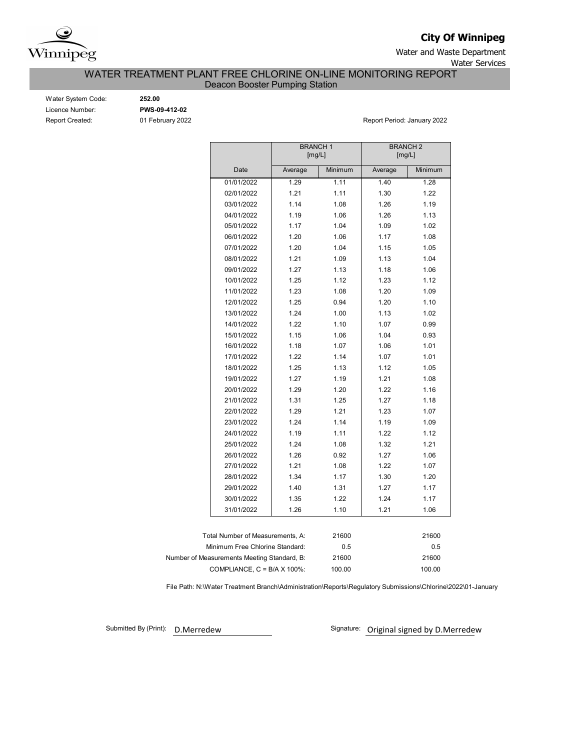

**City Of Winnipeg**

Water and Waste Department Water Services

WATER TREATMENT PLANT FREE CHLORINE ON-LINE MONITORING REPORT

Deacon Booster Pumping Station

| Water System Code:     |
|------------------------|
| Licence Number:        |
| <b>Report Created:</b> |

Water System Code: **252.00**

Licence Number: **PWS-09-412-02**

01 February 2022 **Report Period: January 2022** 

|                                             | <b>BRANCH1</b> | [mg/L]  |         | <b>BRANCH2</b><br>[mg/L] |
|---------------------------------------------|----------------|---------|---------|--------------------------|
| Date                                        | Average        | Minimum | Average | Minimum                  |
| 01/01/2022                                  | 1.29           | 1.11    | 1.40    | 1.28                     |
| 02/01/2022                                  | 1.21           | 1.11    | 1.30    | 1.22                     |
| 03/01/2022                                  | 1.14           | 1.08    | 1.26    | 1.19                     |
| 04/01/2022                                  | 1.19           | 1.06    | 1.26    | 1.13                     |
| 05/01/2022                                  | 1.17           | 1.04    | 1.09    | 1.02                     |
| 06/01/2022                                  | 1.20           | 1.06    | 1.17    | 1.08                     |
| 07/01/2022                                  | 1.20           | 1.04    | 1.15    | 1.05                     |
| 08/01/2022                                  | 1.21           | 1.09    | 1.13    | 1.04                     |
| 09/01/2022                                  | 1.27           | 1.13    | 1.18    | 1.06                     |
| 10/01/2022                                  | 1.25           | 1.12    | 1.23    | 1.12                     |
| 11/01/2022                                  | 1.23           | 1.08    | 1.20    | 1.09                     |
| 12/01/2022                                  | 1.25           | 0.94    | 1.20    | 1.10                     |
| 13/01/2022                                  | 1.24           | 1.00    | 1.13    | 1.02                     |
| 14/01/2022                                  | 1.22           | 1.10    | 1.07    | 0.99                     |
| 15/01/2022                                  | 1.15           | 1.06    | 1.04    | 0.93                     |
| 16/01/2022                                  | 1.18           | 1.07    | 1.06    | 1.01                     |
| 17/01/2022                                  | 1.22           | 1.14    | 1.07    | 1.01                     |
| 18/01/2022                                  | 1.25           | 1.13    | 1.12    | 1.05                     |
| 19/01/2022                                  | 1.27           | 1.19    | 1.21    | 1.08                     |
| 20/01/2022                                  | 1.29           | 1.20    | 1.22    | 1.16                     |
| 21/01/2022                                  | 1.31           | 1.25    | 1.27    | 1.18                     |
| 22/01/2022                                  | 1.29           | 1.21    | 1.23    | 1.07                     |
| 23/01/2022                                  | 1.24           | 1.14    | 1.19    | 1.09                     |
| 24/01/2022                                  | 1.19           | 1.11    | 1.22    | 1.12                     |
| 25/01/2022                                  | 1.24           | 1.08    | 1.32    | 1.21                     |
| 26/01/2022                                  | 1.26           | 0.92    | 1.27    | 1.06                     |
| 27/01/2022                                  | 1.21           | 1.08    | 1.22    | 1.07                     |
| 28/01/2022                                  | 1.34           | 1.17    | 1.30    | 1.20                     |
| 29/01/2022                                  | 1.40           | 1.31    | 1.27    | 1.17                     |
| 30/01/2022                                  | 1.35           | 1.22    | 1.24    | 1.17                     |
| 31/01/2022                                  | 1.26           | 1.10    | 1.21    | 1.06                     |
|                                             |                |         |         |                          |
| Total Number of Measurements, A:            |                | 21600   |         | 21600                    |
| Minimum Free Chlorine Standard:             |                | 0.5     |         | 0.5                      |
| Number of Measurements Meeting Standard, B: |                | 21600   |         | 21600                    |
| COMPLIANCE, C = B/A X 100%:                 |                | 100.00  |         | 100.00                   |

File Path: N:\Water Treatment Branch\Administration\Reports\Regulatory Submissions\Chlorine\2022\01-January

Submitted By (Print): D. Merredew

Signature: Original signed by D.Merredew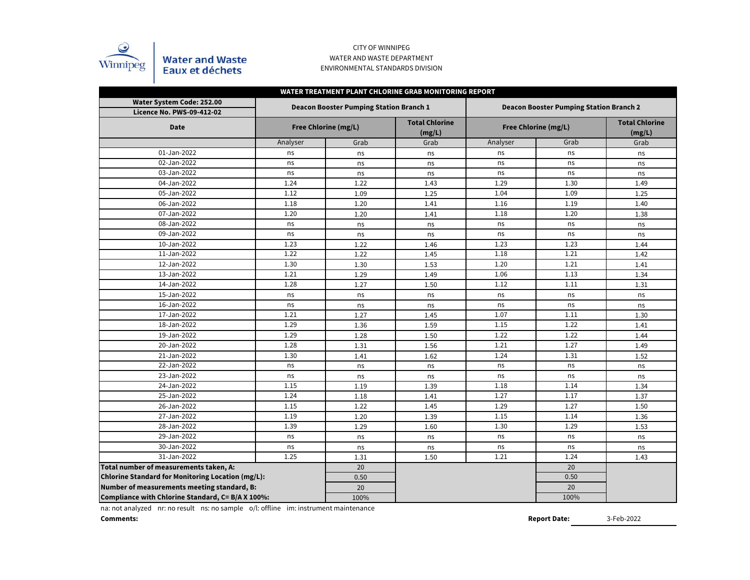

## CITY OF WINNIPEG WATER AND WASTE DEPARTMENT ENVIRONMENTAL STANDARDS DIVISION

| WATER TREATMENT PLANT CHLORINE GRAB MONITORING REPORT         |          |                                                |                                 |                                                |                      |                                 |  |  |  |  |  |  |  |
|---------------------------------------------------------------|----------|------------------------------------------------|---------------------------------|------------------------------------------------|----------------------|---------------------------------|--|--|--|--|--|--|--|
| Water System Code: 252.00<br><b>Licence No. PWS-09-412-02</b> |          | <b>Deacon Booster Pumping Station Branch 1</b> |                                 | <b>Deacon Booster Pumping Station Branch 2</b> |                      |                                 |  |  |  |  |  |  |  |
| <b>Date</b>                                                   |          | Free Chlorine (mg/L)                           | <b>Total Chlorine</b><br>(mg/L) |                                                | Free Chlorine (mg/L) | <b>Total Chlorine</b><br>(mg/L) |  |  |  |  |  |  |  |
|                                                               | Analyser | Grab                                           | Grab                            | Analyser                                       | Grab                 | Grab                            |  |  |  |  |  |  |  |
| 01-Jan-2022                                                   | ns       | ns                                             | ns                              | ns                                             | ns                   | ns                              |  |  |  |  |  |  |  |
| 02-Jan-2022                                                   | ns       | ns                                             | ns                              | ns                                             | ns                   | ns                              |  |  |  |  |  |  |  |
| 03-Jan-2022                                                   | ns       | ns                                             | ns                              | ns                                             | ns                   | ns                              |  |  |  |  |  |  |  |
| 04-Jan-2022                                                   | 1.24     | 1.22                                           | 1.43                            | 1.29                                           | 1.30                 | 1.49                            |  |  |  |  |  |  |  |
| 05-Jan-2022                                                   | 1.12     | 1.09                                           | 1.25                            | 1.04                                           | 1.09                 | 1.25                            |  |  |  |  |  |  |  |
| 06-Jan-2022                                                   | 1.18     | 1.20                                           | 1.41                            | 1.16                                           | 1.19                 | 1.40                            |  |  |  |  |  |  |  |
| 07-Jan-2022                                                   | 1.20     | 1.20                                           | 1.41                            | 1.18                                           | 1.20                 | 1.38                            |  |  |  |  |  |  |  |
| 08-Jan-2022                                                   | ns       | ns                                             | ns                              | ns                                             | ns                   | ns                              |  |  |  |  |  |  |  |
| 09-Jan-2022                                                   | ns       | ns                                             | ns                              | ns                                             | ns                   | ns                              |  |  |  |  |  |  |  |
| 10-Jan-2022                                                   | 1.23     | 1.22                                           | 1.46                            | 1.23                                           | 1.23                 | 1.44                            |  |  |  |  |  |  |  |
| 11-Jan-2022                                                   | 1.22     | 1.22                                           | 1.45                            | 1.18                                           | 1.21                 | 1.42                            |  |  |  |  |  |  |  |
| 12-Jan-2022                                                   | 1.30     | 1.30                                           | 1.53                            | 1.20                                           | 1.21                 | 1.41                            |  |  |  |  |  |  |  |
| 13-Jan-2022                                                   | 1.21     | 1.29                                           | 1.49                            | 1.06                                           | 1.13                 | 1.34                            |  |  |  |  |  |  |  |
| 14-Jan-2022                                                   | 1.28     | 1.27                                           | 1.50                            | 1.12                                           | 1.11                 | 1.31                            |  |  |  |  |  |  |  |
| 15-Jan-2022                                                   | ns       | ns                                             | ns                              | ns                                             | ns                   | ns                              |  |  |  |  |  |  |  |
| 16-Jan-2022                                                   | ns       | ns                                             | ns                              | ns                                             | ns                   | ns                              |  |  |  |  |  |  |  |
| 17-Jan-2022                                                   | 1.21     | 1.27                                           | 1.45                            | 1.07                                           | 1.11                 | 1.30                            |  |  |  |  |  |  |  |
| 18-Jan-2022                                                   | 1.29     | 1.36                                           | 1.59                            | 1.15                                           | 1.22                 | 1.41                            |  |  |  |  |  |  |  |
| 19-Jan-2022                                                   | 1.29     | 1.28                                           | 1.50                            | 1.22                                           | 1.22                 | 1.44                            |  |  |  |  |  |  |  |
| 20-Jan-2022                                                   | 1.28     | 1.31                                           | 1.56                            | 1.21                                           | 1.27                 | 1.49                            |  |  |  |  |  |  |  |
| 21-Jan-2022                                                   | 1.30     | 1.41                                           | 1.62                            | 1.24                                           | 1.31                 | 1.52                            |  |  |  |  |  |  |  |
| 22-Jan-2022                                                   | ns       | ns                                             | ns                              | ns                                             | ns                   | ns                              |  |  |  |  |  |  |  |
| 23-Jan-2022                                                   | ns       | ns                                             | ns                              | ns                                             | ns                   | ns                              |  |  |  |  |  |  |  |
| 24-Jan-2022                                                   | 1.15     | 1.19                                           | 1.39                            | 1.18                                           | 1.14                 | 1.34                            |  |  |  |  |  |  |  |
| 25-Jan-2022                                                   | 1.24     | 1.18                                           | 1.41                            | 1.27                                           | 1.17                 | 1.37                            |  |  |  |  |  |  |  |
| 26-Jan-2022                                                   | 1.15     | 1.22                                           | 1.45                            | 1.29                                           | 1.27                 | 1.50                            |  |  |  |  |  |  |  |
| 27-Jan-2022                                                   | 1.19     | 1.20                                           | 1.39                            | 1.15                                           | 1.14                 | 1.36                            |  |  |  |  |  |  |  |
| 28-Jan-2022                                                   | 1.39     | 1.29                                           | 1.60                            | 1.30                                           | 1.29                 | 1.53                            |  |  |  |  |  |  |  |
| 29-Jan-2022                                                   | ns       | ns                                             | ns                              | ns                                             | ns                   | ns                              |  |  |  |  |  |  |  |
| 30-Jan-2022                                                   | ns       | ns                                             | ns                              | ns                                             | ns                   | ns                              |  |  |  |  |  |  |  |
| 31-Jan-2022                                                   | 1.25     | 1.31                                           | 1.50                            | 1.21                                           | 1.24                 | 1.43                            |  |  |  |  |  |  |  |
| Total number of measurements taken, A:                        |          | 20                                             |                                 |                                                | $\overline{20}$      |                                 |  |  |  |  |  |  |  |
| Chlorine Standard for Monitoring Location (mg/L):             |          | 0.50                                           |                                 |                                                | 0.50                 |                                 |  |  |  |  |  |  |  |
| Number of measurements meeting standard, B:                   |          | 20                                             |                                 |                                                | 20                   |                                 |  |  |  |  |  |  |  |
| Compliance with Chlorine Standard, C= B/A X 100%:             |          | 100%                                           |                                 |                                                | 100%                 |                                 |  |  |  |  |  |  |  |

na: not analyzed nr: no result ns: no sample o/l: offline im: instrument maintenance

**Comments:**

**Report Date:**

3-Feb-2022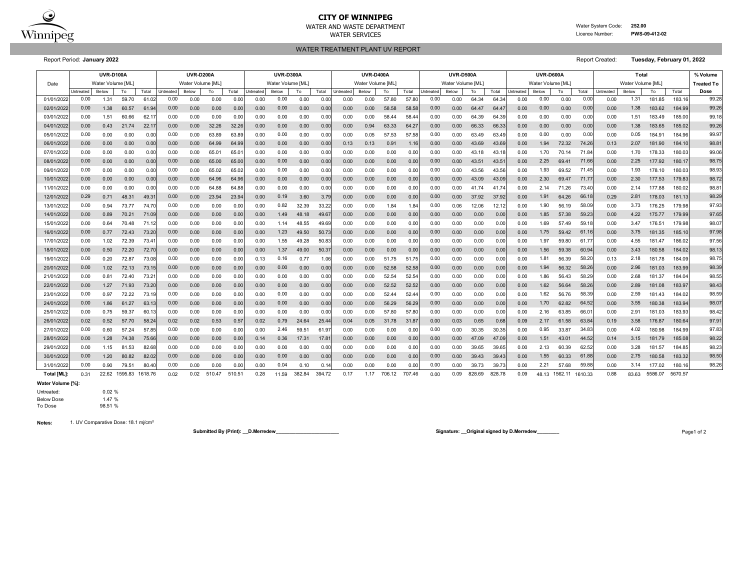

# **CITY OF WINNIPEG**

WATER AND WASTE DEPARTMENT Water System Code: **252.00** WATER SERVICES **EXAMPLE SERVICES Licence Number: PWS-09-412-02** 

WATER TREATMENT PLANT UV REPORT

Report Period: **January 2022** Report Created: **Tuesday, February 01, 2022**

|             | <b>UVR-D100A</b> |                   |               |                |           | <b>UVR-D200A</b>  |        |        | <b>UVR-D300A</b> |                   |        |        | <b>UVR-D400A</b> |                   |        |        | <b>UVR-D500A</b> |                   |        | <b>UVR-D600A</b> |           |                   |         | Total   |                   |       |         | % Volume |                   |
|-------------|------------------|-------------------|---------------|----------------|-----------|-------------------|--------|--------|------------------|-------------------|--------|--------|------------------|-------------------|--------|--------|------------------|-------------------|--------|------------------|-----------|-------------------|---------|---------|-------------------|-------|---------|----------|-------------------|
| Date        |                  | Water Volume [ML] |               |                |           | Water Volume [ML] |        |        |                  | Water Volume [ML] |        |        |                  | Water Volume [ML] |        |        |                  | Water Volume [ML] |        |                  |           | Water Volume [ML] |         |         | Water Volume [ML] |       |         |          | <b>Treated To</b> |
|             | Untreated        | Below             | To            | Total          | Intreated | Below             | To     | Total  | Untreated        | Below             | To     | Total  | <b>Jntreated</b> | Below             | To     | Total  | Untreated        | Below             | To     | Total            | Untreated | Below             | To      | Total   | Untreated         | Below | To      | Total    | Dose              |
| 01/01/202   | 0.00             | 1.31              | 59.70         | 61.02          | 0.00      | 0.00              | 0.00   | 0.0    | 0.00             | 0.00              | 0.00   | 0.00   | 0.00             | 0.00              | 57.80  | 57.8   | 0.00             | 0.00              | 64.34  | 64.3             | 0.00      | 0.00              | 0.00    | 0.00    | 0.00              | 1.31  | 181.85  | 183.16   | 99.28             |
| 02/01/202   | 0.00             | 1.38              | 60.57         | 61.94          | 0.00      | 0.00              | 0.00   | 0.00   | 0.00             | 0.00              | 0.00   | 0.00   | 0.00             | 0.00              | 58.58  | 58.5   | 0.00             | 0.00              | 64.47  | 64.4             | 0.00      | 0.00              | 0.00    | 0.00    | 0.00              | 1.38  | 183.62  | 184.99   | 99.26             |
| 03/01/202   | 0.00             | 1.51              | 60.66         | 62.17          | 0.00      | 0.00              | 0.00   | 0.00   | 0.00             | 0.00              | 0.00   | 0.00   | 0.00             | 0.00              | 58.44  | 58.44  | 0.00             | 0.00              | 64.39  | 64.39            | 0.00      | 0.00              | 0.00    | 0.00    | 0.00              | 1.51  | 183.49  | 185.00   | 99.18             |
| 04/01/2022  | 0.00             | 0.43              | 21.74         | 22.17          | 0.00      | 0.00              | 32.26  | 32.26  | 0.00             | 0.00              | 0.00   | 0.00   | 0.00             | 0.94              | 63.33  | 64.2   | 0.00             | 0.00              | 66.33  | 66.3             | 0.00      | 0.00              | 0.00    | 0.00    | 0.00              | 1.38  | 183.65  | 185.02   | 99.26             |
| 05/01/202   | 0.00             | 0.00              | 0.00          | 0.00           | 0.00      | 0.00              | 63.89  | 63.89  | 0.00             | 0.00              | 0.00   | 0.00   | 0.00             | 0.05              | 57.53  | 57.5   | 0.00             | 0.00              | 63.49  | 63.4             | 0.00      | 0.00              | 0.00    | 0.00    | 0.00              | 0.05  | 184.91  | 184.96   | 99.97             |
| 06/01/2022  | 0.00             | 0.00              | 0.00          | 0.00           | 0.00      | 0.00              | 64.99  | 64.99  | 0.00             | 0.00              | 0.00   | 0.00   | 0.13             | 0.13              | 0.91   | 1.1(   | 0.00             | 0.00              | 43.69  | 43.6             | 0.00      | 1.94              | 72.32   | 74.26   | 0.13              | 2.07  | 181.90  | 184.1    | 98.81             |
| 07/01/202   | 0.00             | 0.00              | 0.00          | 0.00           | 0.00      | 0.00              | 65.01  | 65.0   | 0.00             | 0.00              | 0.00   | 0.00   | 0.00             | 0.00              | 0.00   | 0.00   | 0.00             | 0.00              | 43.18  | 43.1             | 0.00      | 1.70              | 70.14   | 71.84   | 0.00              | 1.70  | 178.33  | 180.0    | 99.06             |
| 08/01/202   | 0.00             | 0.00              | 0.00          | 0.00           | 0.00      | 0.00              | 65.00  | 65.00  | 0.00             | 0.00              | 0.00   | 0.00   | 0.00             | 0.00              | 0.00   | 0.00   | 0.00             | 0.00              | 43.51  | 43.5             | 0.00      | 2.25              | 69.41   | 71.66   | 0.00              | 2.25  | 177.92  | 180.17   | 98.75             |
| 09/01/2022  | 0.00             | 0.00              | 0.00          | 0.00           | 0.00      | 0.00              | 65.02  | 65.02  | 0.00             | 0.00              | 0.00   | 0.00   | 0.00             | 0.00              | 0.00   | 0.00   | 0.00             | 0.00              | 43.56  | 43.56            | 0.00      | 1.93              | 69.52   | 71.45   | 0.00              | 1.93  | 178.10  | 180.03   | 98.93             |
| 10/01/202   | 0.00             | 0.00              | 0.00          | 0.00           | 0.00      | 0.00              | 64.96  | 64.96  | 0.00             | 0.00              | 0.00   | 0.00   | 0.00             | 0.00              | 0.00   | 0.00   | 0.00             | 0.00              | 43.09  | 43.09            | 0.00      | 2.30              | 69.47   | 71.77   | 0.00              | 2.30  | 177.53  | 179.83   | 98.72             |
| 11/01/2022  | 0.00             | 0.00              | 0.00          | 0.00           | 0.00      | 0.00              | 64.88  | 64.88  | 0.00             | 0.00              | 0.00   | 0.00   | 0.00             | 0.00              | 0.00   | 0.00   | 0.00             | 0.00              | 41.74  | 41.7             | 0.00      | 2.14              | 71.26   | 73.40   | 0.00              | 2.14  | 177.88  | 180.02   | 98.81             |
| 12/01/2022  | 0.29             | 0.71              | 48.31         | 49.3'          | 0.00      | 0.00              | 23.94  | 23.9   | 0.00             | 0.19              | 3.60   | 3.79   | 0.00             | 0.00              | 0.00   | 0.00   | 0.00             | 0.00              | 37.92  | 37.9             | 0.00      | 1.91              | 64.26   | 66.18   | 0.29              | 2.81  | 178.03  | 181.13   | 98.29             |
| 13/01/2022  | 0.00             | 0.94              | 73.77         | 74.70          | 0.00      | 0.00              | 0.00   | 0.00   | 0.00             | 0.82              | 32.39  | 33.22  | 0.00             | 0.00              | 1.84   | 1.84   | 0.00             | 0.06              | 12.06  | 12.1             | 0.00      | 1.90              | 56.19   | 58.09   | 0.00              | 3.73  | 176.25  | 179.98   | 97.93             |
| 14/01/202   | 0.00             | 0.89              | 70.21         | 71.09          | 0.00      | 0.00              | 0.00   | 0.01   | 0.00             | 1.49              | 48.18  | 49.67  | 0.00             | 0.00              | 0.00   | 0.00   | 0.00             | 0.00              | 0.00   | 0.00             | 0.00      | 1.85              | 57.38   | 59.23   | 0.00              | 4.22  | 175.77  | 179.99   | 97.65             |
| 15/01/202   | 0.00             | 0.64              | 70.48         | 71.12          | 0.00      | 0.00              | 0.00   | 0.01   | 0.00             | 1.14              | 48.55  | 49.69  | 0.00             | 0.00              | 0.00   | 0.00   | 0.00             | 0.00              | 0.00   | 0.00             | 0.00      | 1.69              | 57.49   | 59.18   | 0.00              | 3.47  | 176.51  | 179.98   | 98.07             |
| 16/01/2022  | 0.00             | 0.77              | 72.43         | 73.20          | 0.00      | 0.00              | 0.00   | 0.00   | 0.00             | 1.23              | 49.50  | 50.73  | 0.00             | 0.00              | 0.00   | 0.00   | 0.00             | 0.00              | 0.00   | 0.00             | 0.00      | 1.75              | 59.42   | 61.16   | 0.00              | 3.75  | 181.35  | 185.10   | 97.98             |
| 17/01/2022  | 0.00             | 1.02              | 72.39         | 73.4'          | 0.00      | 0.00              | 0.00   | 0.00   | 0.00             | 1.55              | 49.28  | 50.83  | 0.00             | 0.00              | 0.00   | 0.00   | 0.00             | 0.00              | 0.00   | 0.00             | 0.00      | 1.97              | 59.80   | 61.7    | 0.00              | 4.55  | 181.47  | 186.02   | 97.56             |
| 18/01/2022  | 0.00             | 0.50              | 72.20         | 72.70          | 0.00      | 0.00              | 0.00   | 0.00   | 0.00             | 1.37              | 49.00  | 50.37  | 0.00             | 0.00              | 0.00   | 0.00   | 0.00             | 0.00              | 0.00   | 0.00             | 0.00      | 1.56              | 59.38   | 60.9    | 0.00              | 3.43  | 180.58  | 184.02   | 98.13             |
| 19/01/202   | 0.00             | 0.20              | 72.87         | 73.08          | 0.00      | 0.00              | 0.00   | 0.00   | 0.13             | 0.16              | 0.77   | 1.06   | 0.00             | 0.00              | 51.75  | 51.7   | 0.00             | 0.00              | 0.00   | 0.00             | 0.00      | 1.81              | 56.39   | 58.2    | 0.13              | 2.18  | 181.78  | 184.09   | 98.75             |
| 20/01/2022  | 0.00             | 1.02              | 72.13         | 73.15          | 0.00      | 0.00              | 0.00   | 0.00   | 0.00             | 0.00              | 0.00   | 0.00   | 0.00             | 0.00              | 52.58  | 52.58  | 0.00             | 0.00              | 0.00   | 0.00             | 0.00      | 1.94              | 56.32   | 58.26   | 0.00              | 2.96  | 181.03  | 183.99   | 98.39             |
| 21/01/202   | 0.00             | 0.81              | 72.40         | $73.2^{\circ}$ | 0.00      | 0.00              | 0.00   | 0.0    | 0.00             | 0.00              | 0.00   | 0.00   | 0.00             | 0.00              | 52.54  | 52.5   | 0.00             | 0.00              | 0.00   | 0.00             | 0.00      | 1.86              | 56.43   | 58.2    | 0.00              | 2.68  | 181.37  | 184.04   | 98.55             |
| 22/01/2022  | 0.00             | 1.27              | 71.93         | 73.20          | 0.00      | 0.00              | 0.00   | 0.00   | 0.00             | 0.00              | 0.00   | 0.00   | 0.00             | 0.00              | 52.52  | 52.5   | 0.00             | 0.00              | 0.00   | 0.00             | 0.00      | 1.62              | 56.64   | 58.26   | 0.00              | 2.89  | 181.08  | 183.97   | 98.43             |
| 23/01/202   | 0.00             | 0.97              | 72.22         | 73.19          | 0.00      | 0.00              | 0.00   | 0.00   | 0.00             | 0.00              | 0.00   | 0.00   | 0.00             | 0.00              | 52.44  | 52.44  | 0.00             | 0.00              | 0.00   | 0.00             | 0.00      | 1.62              | 56.76   | 58.39   | 0.00              | 2.59  | 181.43  | 184.02   | 98.59             |
| 24/01/2022  | 0.00             | 1.86              | 61.27         | 63.13          | 0.00      | 0.00              | 0.00   | 0.00   | 0.00             | 0.00              | 0.00   | 0.00   | 0.00             | 0.00              | 56.29  | 56.29  | 0.00             | 0.00              | 0.00   | 0.00             | 0.00      | 1.70              | 62.82   | 64.52   | 0.00              | 3.55  | 180.38  | 183.94   | 98.07             |
| 25/01/202   | 0.00             | 0.75              | 59.37         | 60.13          | 0.00      | 0.00              | 0.00   | 0.00   | 0.00             | 0.00              | 0.00   | 0.00   | 0.00             | 0.00              | 57.80  | 57.8   | 0.00             | 0.00              | 0.00   | 0.00             | 0.00      | 2.16              | 63.85   | 66.0    | 0.00              | 2.91  | 181.03  | 183.93   | 98.42             |
| 26/01/2022  | 0.02             | 0.52              | 57.70         | 58.24          | 0.02      | 0.02              | 0.53   | 0.57   | 0.02             | 0.79              | 24.64  | 25.44  | 0.04             | 0.05              | 31.78  | 31.8   | 0.00             | 0.03              | 0.65   | 0.68             | 0.09      | 2.17              | 61.58   | 63.84   | 0.19              | 3.58  | 176.87  | 180.64   | 97.91             |
| 27/01/202   | 0.00             | 0.60              | 57.24         | 57.85          | 0.00      | 0.00              | 0.00   | 0.0    | 0.00             | 2.46              | 59.51  | 61.97  | 0.00             | 0.00              | 0.00   | 0.00   | 0.00             | 0.00              | 30.35  | 30.3             | 0.00      | 0.95              | 33.87   | 34.83   | 0.00              | 4.02  | 180.98  | 184.99   | 97.83             |
| 28/01/202   | 0.00             | 1.28              | 74.38         | 75.66          | 0.00      | 0.00              | 0.00   | 0.00   | 0.14             | 0.36              | 17.31  | 17.8   | 0.00             | 0.00              | 0.00   | 0.00   | 0.00             | 0.00              | 47.09  | 47.0             | 0.00      | 1.51              | 43.01   | 44.5    | 0.14              | 3.15  | 181.79  | 185.08   | 98.22             |
| 29/01/2022  | 0.00             | 1.15              | 81.53         | 82.68          | 0.00      | 0.00              | 0.00   | 0.00   | 0.00             | 0.00              | 0.00   | 0.00   | 0.00             | 0.00              | 0.00   | 0.00   | 0.00             | 0.00              | 39.65  | 39.65            | 0.00      | 2.13              | 60.39   | 62.5    | 0.00              | 3.28  | 181.57  | 184.85   | 98.23             |
| 30/01/202   | 0.00             | 1.20              | 80.82         | 82.02          | 0.00      | 0.00              | 0.00   | 0.00   | 0.00             | 0.00              | 0.00   | 0.00   | 0.00             | 0.00              | 0.00   | 0.00   | 0.00             | 0.00              | 39.43  | 39.43            | 0.00      | 1.55              | 60.33   | 61.88   | 0.00              | 2.75  | 180.58  | 183.32   | 98.50             |
| 31/01/202   | 0.00             | 0.90              | 79.51         | 80.40          | 0.00      | 0.00              | 0.00   | 0.00   | 0.00             | 0.04              | 0.10   | 0.14   | 0.00             | 0.00              | 0.00   | 0.00   | 0.00             | 0.00              | 39.73  | 39.7             | 0.00      | 2.21              | 57.68   | 59.8    | 0.00              | 3.14  | 177.02  | 180.1    | 98.26             |
| Total [ML]: | 0.31             |                   | 22.62 1595.83 | 1618.76        | 0.02      | 0.02              | 510.47 | 510.51 | 0.28             | 11.59             | 382.84 | 394.72 | 0.17             | 1.17              | 706.12 | 707.46 | 0.00             | 0.09              | 828.69 | 828.78           | 0.09      | 48.13             | 1562.11 | 1610.33 | 0.88              | 83.63 | 5586.07 | 5670.57  |                   |

**Water Volume [%]:**

Untreated: 0.02 %

Below Dose 1.47 %<br>To Dose 98.51 % 98.51 %

**Notes:** 1. UV Comparative Dose: 18.1 mj/cm²

**Submitted By (Print): \_\_D.Merredew\_\_\_\_\_\_\_\_\_\_\_\_\_\_\_\_\_\_\_\_\_\_\_ Signature: \_\_Original signed by D.Merredew\_\_\_\_\_\_\_\_** Page1 of 2